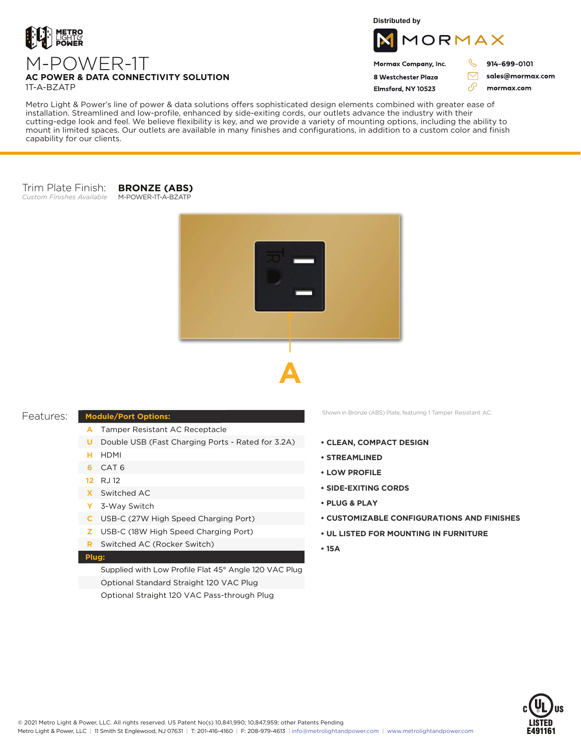

**Distributed by**



Mormax Company, Inc. 8 Westchester Plaza

Elmsford, NY 10523

914-699-0101

J

 $\bigtriangledown$ 

76

sales@mormax.com mormax.com

### **AC POWER & DATA CONNECTIVITY SOLUTION** 1T-A-BZATP

M-POWER-1T

Metro Light & Power's line of power & data solutions offers sophisticated design elements combined with greater ease of installation. Streamlined and low-profile, enhanced by side-exiting cords, our outlets advance the industry with their cutting-edge look and feel. We believe flexibility is key, and we provide a variety of mounting options, including the ability to mount in limited spaces. Our outlets are available in many finishes and configurations, in addition to a custom color and finish capability for our clients.

#### Trim Plate Finish: *Custom Finishes Available* M-POWER-1T-A-BZATP

**BRONZE (ABS)**





# Features:

## **Module/Port Options:**

- Tamper Resistant AC Receptacle **A**
- **U** Double USB (Fast Charging Ports Rated for 3.2A)
- HDMI **H**
- CAT 6 **6**
- RJ 12 **12**
- Switched AC **X**
- 3-Way Switch **Y**
- USB-C (27W High Speed Charging Port) **C**
- USB-C (18W High Speed Charging Port) **Z**
- Switched AC (Rocker Switch) **R**

## **Plug:**

Supplied with Low Profile Flat 45° Angle 120 VAC Plug Optional Standard Straight 120 VAC Plug Optional Straight 120 VAC Pass-through Plug

Shown in Bronze (ABS) Plate, featuring 1 Tamper Resistant AC.

- **CLEAN, COMPACT DESIGN**
- **STREAMLINED**
- **LOW PROFILE**
- **SIDE-EXITING CORDS**
- **PLUG & PLAY**
- **CUSTOMIZABLE CONFIGURATIONS AND FINISHES**
- **UL LISTED FOR MOUNTING IN FURNITURE**
- **15A**